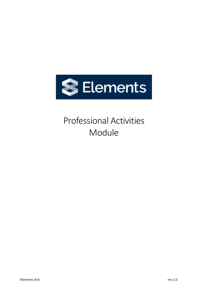

# Professional Activities Module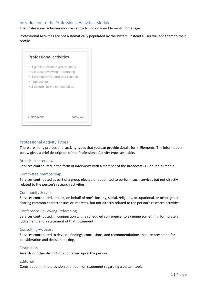# Introduction to the Professional Activities Module

The professional activities module can be found on your Elements homepage.

Professional Activities are not automatically populated by the system, instead a user will add them to their profile.

| <b>Professional activities</b>     |                 |
|------------------------------------|-----------------|
| • 4 grant application assessments  |                 |
| • 9 journal reviewing / refereeing |                 |
| • 4 promotion / tenure assessments |                 |
| • 1 editorships                    |                 |
| • 3 editorial board memberships    |                 |
|                                    |                 |
|                                    |                 |
|                                    |                 |
|                                    |                 |
|                                    |                 |
| + ADD NEW                          | <b>VIEW ALL</b> |

## Professional Activity Types

There are many professional activity types that you can provide details for in Elements. The information below gives a brief description of the Professional Activity types available.

#### Broadcast Interview

Services contributed in the form of interviews with a member of the broadcast (TV or Radio) media.

#### Committee Membership

Services contributed as part of a group elected or appointed to perform such services but not directly related to the person's research activities

#### Community Service

Services contributed, unpaid, on behalf of one's locality, social, religious, occupational, or other group sharing common characteristics or interests, but not directly related to the person's research activities.

#### Conference Reviewing-Refereeing

Services contributed, in conjunction with a scheduled conference, to examine something, formulate a judgement, and a statement of that judgement.

#### Consulting-Advisory

Services contributed to develop findings, conclusions, and recommendations that are presented for consideration and decision making.

#### Distinction

Awards or other distinctions conferred upon the person.

#### Editorial

Contribution in the provision of an opinion statement regarding a certain topic.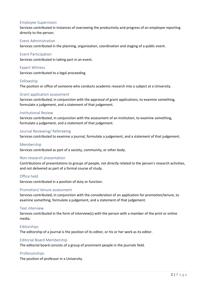## Employee Supervision

Services contributed in instances of overseeing the productivity and progress of an employee reporting directly to the person.

### Event Administration

Services contributed in the planning, organization, coordination and staging of a public event.

Event Participation Services contributed in taking part in an event.

Expert Witness Services contributed to a legal proceeding.

Fellowship The position or office of someone who conducts academic research into a subject at a University.

#### Grant application assessment

Services contributed, in conjunction with the appraisal of grant applications, to examine something, formulate a judgement, and a statement of that judgement.

#### Institutional Review

Services contributed, in conjunction with the assessment of an institution, to examine something, formulate a judgement, and a statement of that judgement.

#### Journal Reviewing/ Refereeing

Services contributed to examine a journal, formulate a judgement, and a statement of that judgement.

#### Membership

Services contributed as part of a society, community, or other body.

#### Non-research presentation

Contributions of presentations to groups of people, not directly related to the person's research activities, and not delivered as part of a formal course of study.

#### Office held

Services contributed in a position of duty or function.

#### Promotion/ tenure assessment

Services contributed, in conjunction with the consideration of an application for promotion/tenure, to examine something, formulate a judgement, and a statement of that judgement.

#### Text interview

Services contributed in the form of interview(s) with the person with a member of the print or online media.

#### Editorships

The editorship of a journal is the position of its editor, or his or her work as its editor.

#### Editorial Board Membership

The editorial board consists of a group of prominent people in the journals field.

#### Professorships

The position of professor in a University.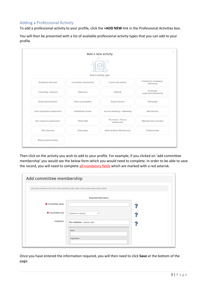# Adding a Professional Activity

To add a professional activity to your profile, click the **+ADD NEW** link in the Professional Activities box.

You will then be presented with a list of available professional activity types that you can add to your profile.

|                              | $\circ$<br>$\sum_{i=1}^{n}$ | $\circ$<br>Select activity type   |                                      |
|------------------------------|-----------------------------|-----------------------------------|--------------------------------------|
| Broadcast interview          | Committee membership        | Community service                 | Conference reviewing /<br>refereeing |
| Consulting / Advisory        | <b>Distinction</b>          | Editorial                         | Employee<br>supervision/mentoring    |
| Event administration         | Event participation         | Expert witness                    | Fellowship                           |
| Grant application assessment | Institutional review        | Journal reviewing / refereeing    | Membership                           |
| Non-research presentation    | Office held                 | Promotion / Tenure<br>assessment  | <b>Television Documentary</b>        |
| Text interview               | Editorships                 | <b>Editorial Board Membership</b> | Professorship                        |

Then click on the activity you wish to add to your profile. For example; if you clicked on 'add committee membership' you would see the below form which you would need to complete. In order to be able to save the record, you will need to complete all mandatory fields which are marked with a red asterisk.

|                  | Information entered on this form is discoverable by other users of the professional activity module. |  |
|------------------|------------------------------------------------------------------------------------------------------|--|
|                  | <b>Essential Information</b>                                                                         |  |
| * Committee name |                                                                                                      |  |
| * Committee role | [Select an option]<br>$\checkmark$                                                                   |  |
| Institution      | No Institution - please add                                                                          |  |
|                  | Name                                                                                                 |  |

Once you have entered the information required, you will then need to click **Save** at the bottom of the page.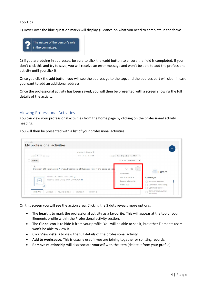Top Tips

1) Hover over the blue question marks will display guidance on what you need to complete in the forms.



2) If you are adding in addresses, be sure to click the +add button to ensure the field is completed. If you don't click this and try to save, you will receive an error message and won't be able to add the professional activity until you click it.

Once you click the add button you will see the address go to the top, and the address part will clear in case you want to add an additional address.

Once the professional activity has been saved, you will then be presented with a screen showing the full details of the activity.

## Viewing Professional Activities

You can view your professional activities from the home page by clicking on the professional activity heading.

You will then be presented with a list of your professional activities.

| My professional activities                 |                                                                                                                                       |                                                                        |                                                                                                                                        |  |
|--------------------------------------------|---------------------------------------------------------------------------------------------------------------------------------------|------------------------------------------------------------------------|----------------------------------------------------------------------------------------------------------------------------------------|--|
|                                            | showing 1 - 10 out of 21                                                                                                              |                                                                        |                                                                                                                                        |  |
| 10<br>view:<br>$\vee$ per page             | prev 1 2 3 next                                                                                                                       | sort by: Reporting date (newest first) v                               |                                                                                                                                        |  |
| <b>EXPORT</b>                              |                                                                                                                                       | focus on: summary                                                      | $\check{~}$                                                                                                                            |  |
| $\circ$<br>PROMOTION / TENURE ASSESSMENT @ | University of South-Eastern Norway, Department of Business, History and Social Scienc<br>Reporting Dates: 07 Aug 2020 - 07 Oct 2020 @ | View details<br>Add to workspace<br>Remove relationship<br>Create copy | $\vdots$<br>$\circledcirc$<br><b>Filters</b><br>Activity type<br>Broadcast interview<br>Committee membership<br>п<br>Community service |  |

On this screen you will see the action area. Clicking the 3 dots reveals more options.

- The **heart** is to mark the professional activity as a favourite. This will appear at the top of your Elements profile within the Professional activity section.
- The **Globe** icon is to hide it from your profile. You will be able to see it, but other Elements users won't be able to view it.
- Click **View details** to view the full details of the professional activity.
- **Add to workspace**. This is usually used if you are joining together or splitting records.
- **Remove relationship** will disassociate yourself with the item (delete it from your profile).